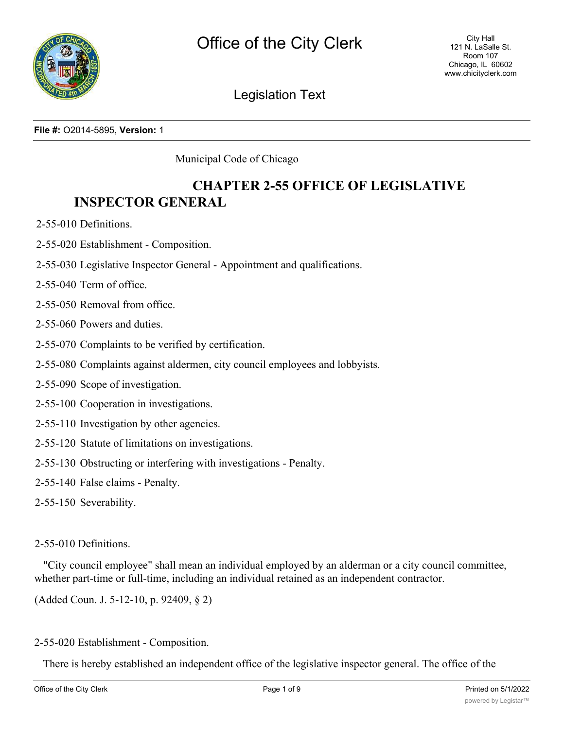

Legislation Text

**File #:** O2014-5895, **Version:** 1

Municipal Code of Chicago

# **CHAPTER 2-55 OFFICE OF LEGISLATIVE INSPECTOR GENERAL**

2-55-010 Definitions.

- 2-55-020 Establishment Composition.
- 2-55-030 Legislative Inspector General Appointment and qualifications.
- 2-55-040 Term of office.
- 2-55-050 Removal from office.
- 2-55-060 Powers and duties.
- 2-55-070 Complaints to be verified by certification.
- 2-55-080 Complaints against aldermen, city council employees and lobbyists.
- 2-55-090 Scope of investigation.
- 2-55-100 Cooperation in investigations.
- 2-55-110 Investigation by other agencies.
- 2-55-120 Statute of limitations on investigations.
- 2-55-130 Obstructing or interfering with investigations Penalty.
- 2-55-140 False claims Penalty.
- 2-55-150 Severability.

#### 2-55-010 Definitions.

"City council employee" shall mean an individual employed by an alderman or a city council committee, whether part-time or full-time, including an individual retained as an independent contractor.

(Added Coun. J. 5-12-10, p. 92409, § 2)

#### 2-55-020 Establishment - Composition.

There is hereby established an independent office of the legislative inspector general. The office of the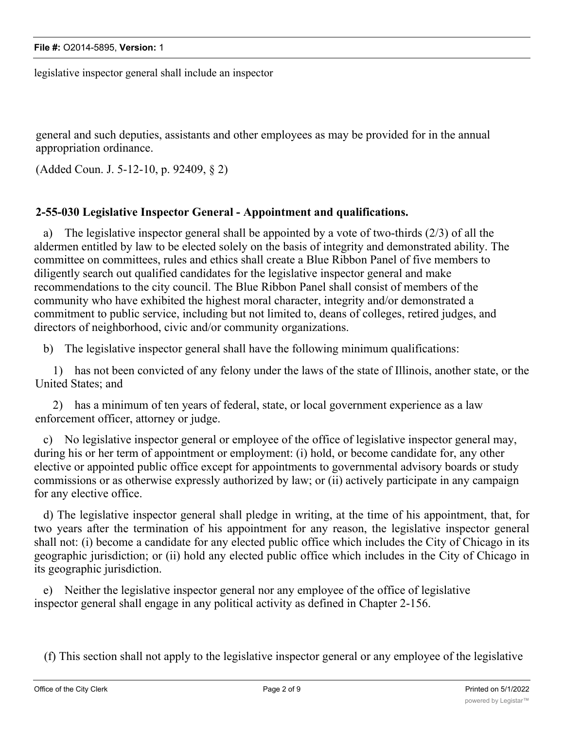legislative inspector general shall include an inspector

general and such deputies, assistants and other employees as may be provided for in the annual appropriation ordinance.

(Added Coun. J. 5-12-10, p. 92409, § 2)

#### **2-55-030 Legislative Inspector General - Appointment and qualifications.**

a) The legislative inspector general shall be appointed by a vote of two-thirds (2/3) of all the aldermen entitled by law to be elected solely on the basis of integrity and demonstrated ability. The committee on committees, rules and ethics shall create a Blue Ribbon Panel of five members to diligently search out qualified candidates for the legislative inspector general and make recommendations to the city council. The Blue Ribbon Panel shall consist of members of the community who have exhibited the highest moral character, integrity and/or demonstrated a commitment to public service, including but not limited to, deans of colleges, retired judges, and directors of neighborhood, civic and/or community organizations.

b) The legislative inspector general shall have the following minimum qualifications:

1) has not been convicted of any felony under the laws of the state of Illinois, another state, or the United States; and

2) has a minimum of ten years of federal, state, or local government experience as a law enforcement officer, attorney or judge.

c) No legislative inspector general or employee of the office of legislative inspector general may, during his or her term of appointment or employment: (i) hold, or become candidate for, any other elective or appointed public office except for appointments to governmental advisory boards or study commissions or as otherwise expressly authorized by law; or (ii) actively participate in any campaign for any elective office.

d) The legislative inspector general shall pledge in writing, at the time of his appointment, that, for two years after the termination of his appointment for any reason, the legislative inspector general shall not: (i) become a candidate for any elected public office which includes the City of Chicago in its geographic jurisdiction; or (ii) hold any elected public office which includes in the City of Chicago in its geographic jurisdiction.

e) Neither the legislative inspector general nor any employee of the office of legislative inspector general shall engage in any political activity as defined in Chapter 2-156.

(f) This section shall not apply to the legislative inspector general or any employee of the legislative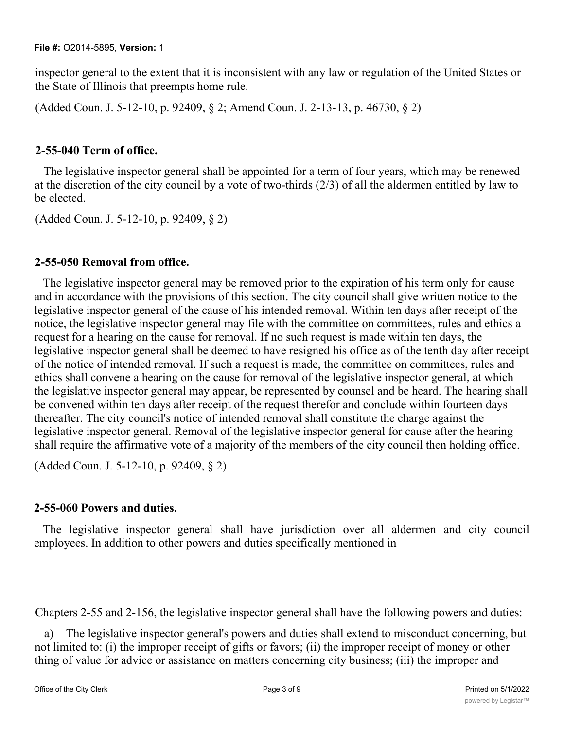inspector general to the extent that it is inconsistent with any law or regulation of the United States or the State of Illinois that preempts home rule.

(Added Coun. J. 5-12-10, p. 92409, § 2; Amend Coun. J. 2-13-13, p. 46730, § 2)

### **2-55-040 Term of office.**

The legislative inspector general shall be appointed for a term of four years, which may be renewed at the discretion of the city council by a vote of two-thirds (2/3) of all the aldermen entitled by law to be elected.

(Added Coun. J. 5-12-10, p. 92409, § 2)

# **2-55-050 Removal from office.**

The legislative inspector general may be removed prior to the expiration of his term only for cause and in accordance with the provisions of this section. The city council shall give written notice to the legislative inspector general of the cause of his intended removal. Within ten days after receipt of the notice, the legislative inspector general may file with the committee on committees, rules and ethics a request for a hearing on the cause for removal. If no such request is made within ten days, the legislative inspector general shall be deemed to have resigned his office as of the tenth day after receipt of the notice of intended removal. If such a request is made, the committee on committees, rules and ethics shall convene a hearing on the cause for removal of the legislative inspector general, at which the legislative inspector general may appear, be represented by counsel and be heard. The hearing shall be convened within ten days after receipt of the request therefor and conclude within fourteen days thereafter. The city council's notice of intended removal shall constitute the charge against the legislative inspector general. Removal of the legislative inspector general for cause after the hearing shall require the affirmative vote of a majority of the members of the city council then holding office.

(Added Coun. J. 5-12-10, p. 92409, § 2)

# **2-55-060 Powers and duties.**

The legislative inspector general shall have jurisdiction over all aldermen and city council employees. In addition to other powers and duties specifically mentioned in

Chapters 2-55 and 2-156, the legislative inspector general shall have the following powers and duties:

a) The legislative inspector general's powers and duties shall extend to misconduct concerning, but not limited to: (i) the improper receipt of gifts or favors; (ii) the improper receipt of money or other thing of value for advice or assistance on matters concerning city business; (iii) the improper and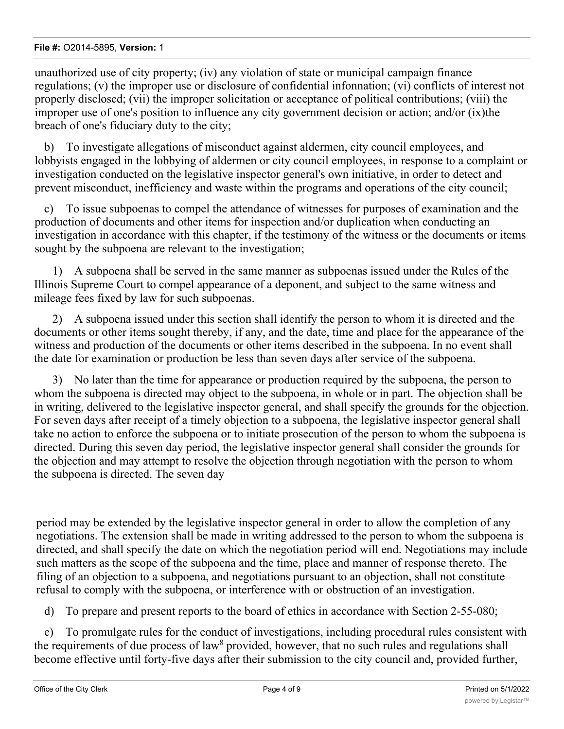#### **File #:** O2014-5895, **Version:** 1

unauthorized use of city property; (iv) any violation of state or municipal campaign finance regulations; (v) the improper use or disclosure of confidential infonnation; (vi) conflicts of interest not properly disclosed; (vii) the improper solicitation or acceptance of political contributions; (viii) the improper use of one's position to influence any city government decision or action; and/or (ix)the breach of one's fiduciary duty to the city;

b) To investigate allegations of misconduct against aldermen, city council employees, and lobbyists engaged in the lobbying of aldermen or city council employees, in response to a complaint or investigation conducted on the legislative inspector general's own initiative, in order to detect and prevent misconduct, inefficiency and waste within the programs and operations of the city council;

To issue subpoenas to compel the attendance of witnesses for purposes of examination and the production of documents and other items for inspection and/or duplication when conducting an investigation in accordance with this chapter, if the testimony of the witness or the documents or items sought by the subpoena are relevant to the investigation;

1) A subpoena shall be served in the same manner as subpoenas issued under the Rules of the Illinois Supreme Court to compel appearance of a deponent, and subject to the same witness and mileage fees fixed by law for such subpoenas.

2) A subpoena issued under this section shall identify the person to whom it is directed and the documents or other items sought thereby, if any, and the date, time and place for the appearance of the witness and production of the documents or other items described in the subpoena. In no event shall the date for examination or production be less than seven days after service of the subpoena.

3) No later than the time for appearance or production required by the subpoena, the person to whom the subpoena is directed may object to the subpoena, in whole or in part. The objection shall be in writing, delivered to the legislative inspector general, and shall specify the grounds for the objection. For seven days after receipt of a timely objection to a subpoena, the legislative inspector general shall take no action to enforce the subpoena or to initiate prosecution of the person to whom the subpoena is directed. During this seven day period, the legislative inspector general shall consider the grounds for the objection and may attempt to resolve the objection through negotiation with the person to whom the subpoena is directed. The seven day

period may be extended by the legislative inspector general in order to allow the completion of any negotiations. The extension shall be made in writing addressed to the person to whom the subpoena is directed, and shall specify the date on which the negotiation period will end. Negotiations may include such matters as the scope of the subpoena and the time, place and manner of response thereto. The filing of an objection to a subpoena, and negotiations pursuant to an objection, shall not constitute refusal to comply with the subpoena, or interference with or obstruction of an investigation.

d) To prepare and present reports to the board of ethics in accordance with Section 2-55-080;

e) To promulgate rules for the conduct of investigations, including procedural rules consistent with the requirements of due process of law<sup>8</sup> provided, however, that no such rules and regulations shall become effective until forty-five days after their submission to the city council and, provided further,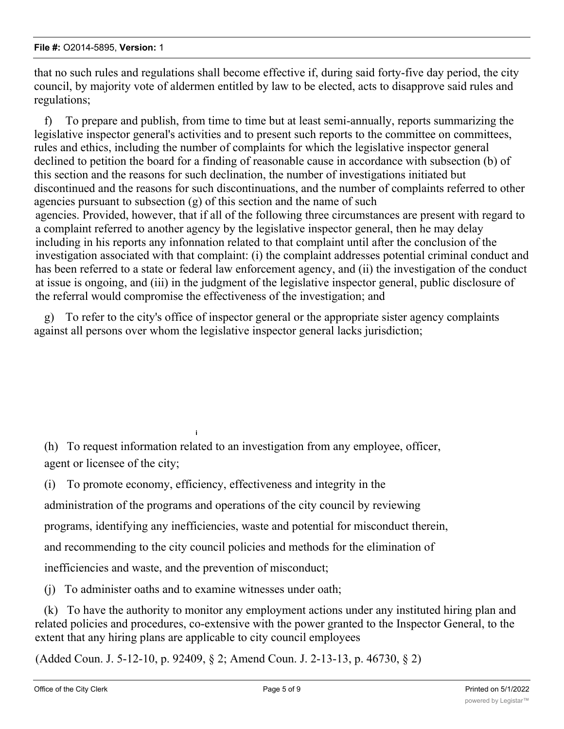that no such rules and regulations shall become effective if, during said forty-five day period, the city council, by majority vote of aldermen entitled by law to be elected, acts to disapprove said rules and regulations;

f) To prepare and publish, from time to time but at least semi-annually, reports summarizing the legislative inspector general's activities and to present such reports to the committee on committees, rules and ethics, including the number of complaints for which the legislative inspector general declined to petition the board for a finding of reasonable cause in accordance with subsection (b) of this section and the reasons for such declination, the number of investigations initiated but discontinued and the reasons for such discontinuations, and the number of complaints referred to other agencies pursuant to subsection  $(g)$  of this section and the name of such agencies. Provided, however, that if all of the following three circumstances are present with regard to a complaint referred to another agency by the legislative inspector general, then he may delay including in his reports any infonnation related to that complaint until after the conclusion of the investigation associated with that complaint: (i) the complaint addresses potential criminal conduct and has been referred to a state or federal law enforcement agency, and (ii) the investigation of the conduct at issue is ongoing, and (iii) in the judgment of the legislative inspector general, public disclosure of the referral would compromise the effectiveness of the investigation; and

g) To refer to the city's office of inspector general or the appropriate sister agency complaints against all persons over whom the legislative inspector general lacks jurisdiction;

(h) To request information related to an investigation from any employee, officer, agent or licensee of the city;

(i) To promote economy, efficiency, effectiveness and integrity in the administration of the programs and operations of the city council by reviewing programs, identifying any inefficiencies, waste and potential for misconduct therein, and recommending to the city council policies and methods for the elimination of inefficiencies and waste, and the prevention of misconduct;

(j) To administer oaths and to examine witnesses under oath;

**i**

(k) To have the authority to monitor any employment actions under any instituted hiring plan and related policies and procedures, co-extensive with the power granted to the Inspector General, to the extent that any hiring plans are applicable to city council employees

(Added Coun. J. 5-12-10, p. 92409, § 2; Amend Coun. J. 2-13-13, p. 46730, § 2)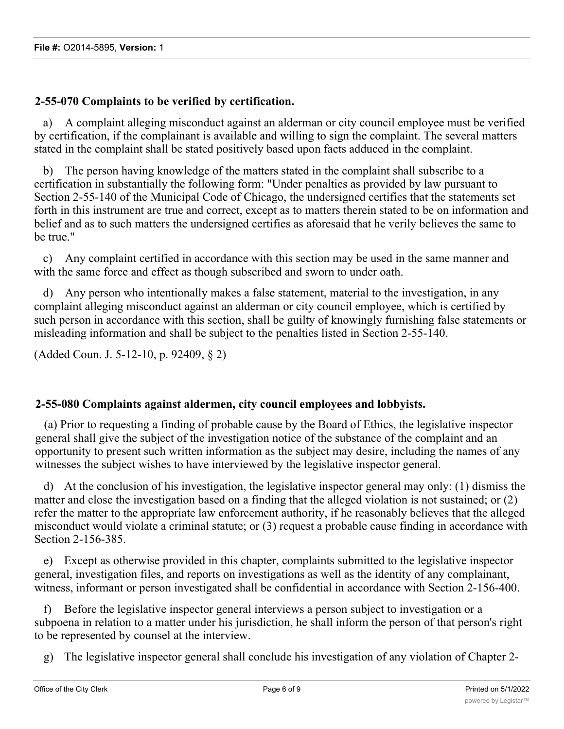# **2-55-070 Complaints to be verified by certification.**

a) A complaint alleging misconduct against an alderman or city council employee must be verified by certification, if the complainant is available and willing to sign the complaint. The several matters stated in the complaint shall be stated positively based upon facts adduced in the complaint.

b) The person having knowledge of the matters stated in the complaint shall subscribe to a certification in substantially the following form: "Under penalties as provided by law pursuant to Section 2-55-140 of the Municipal Code of Chicago, the undersigned certifies that the statements set forth in this instrument are true and correct, except as to matters therein stated to be on information and belief and as to such matters the undersigned certifies as aforesaid that he verily believes the same to be true."

c) Any complaint certified in accordance with this section may be used in the same manner and with the same force and effect as though subscribed and sworn to under oath.

d) Any person who intentionally makes a false statement, material to the investigation, in any complaint alleging misconduct against an alderman or city council employee, which is certified by such person in accordance with this section, shall be guilty of knowingly furnishing false statements or misleading information and shall be subject to the penalties listed in Section 2-55-140.

(Added Coun. J. 5-12-10, p. 92409, § 2)

# **2-55-080 Complaints against aldermen, city council employees and lobbyists.**

(a) Prior to requesting a finding of probable cause by the Board of Ethics, the legislative inspector general shall give the subject of the investigation notice of the substance of the complaint and an opportunity to present such written information as the subject may desire, including the names of any witnesses the subject wishes to have interviewed by the legislative inspector general.

d) At the conclusion of his investigation, the legislative inspector general may only: (1) dismiss the matter and close the investigation based on a finding that the alleged violation is not sustained; or (2) refer the matter to the appropriate law enforcement authority, if he reasonably believes that the alleged misconduct would violate a criminal statute; or (3) request a probable cause finding in accordance with Section 2-156-385.

e) Except as otherwise provided in this chapter, complaints submitted to the legislative inspector general, investigation files, and reports on investigations as well as the identity of any complainant, witness, informant or person investigated shall be confidential in accordance with Section 2-156-400.

f) Before the legislative inspector general interviews a person subject to investigation or a subpoena in relation to a matter under his jurisdiction, he shall inform the person of that person's right to be represented by counsel at the interview.

g) The legislative inspector general shall conclude his investigation of any violation of Chapter 2-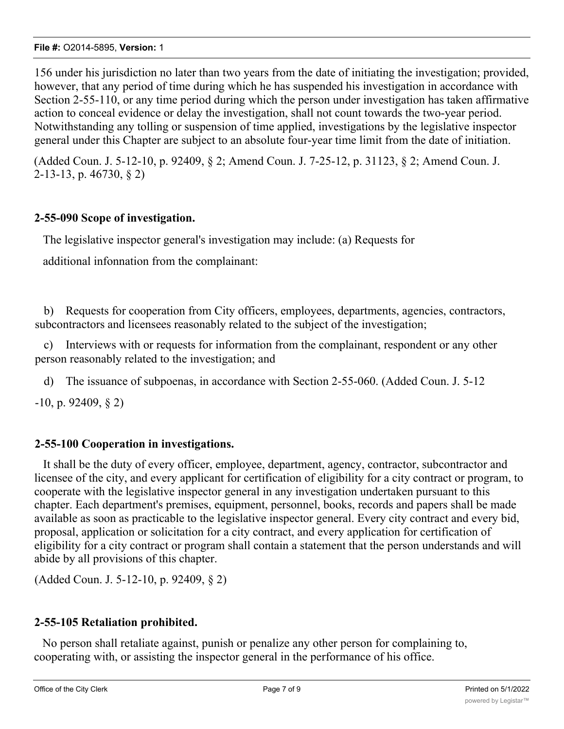156 under his jurisdiction no later than two years from the date of initiating the investigation; provided, however, that any period of time during which he has suspended his investigation in accordance with Section 2-55-110, or any time period during which the person under investigation has taken affirmative action to conceal evidence or delay the investigation, shall not count towards the two-year period. Notwithstanding any tolling or suspension of time applied, investigations by the legislative inspector general under this Chapter are subject to an absolute four-year time limit from the date of initiation.

(Added Coun. J. 5-12-10, p. 92409, § 2; Amend Coun. J. 7-25-12, p. 31123, § 2; Amend Coun. J. 2-13-13, p. 46730, § 2)

# **2-55-090 Scope of investigation.**

The legislative inspector general's investigation may include: (a) Requests for

additional infonnation from the complainant:

b) Requests for cooperation from City officers, employees, departments, agencies, contractors, subcontractors and licensees reasonably related to the subject of the investigation;

c) Interviews with or requests for information from the complainant, respondent or any other person reasonably related to the investigation; and

d) The issuance of subpoenas, in accordance with Section 2-55-060. (Added Coun. J. 5-12

-10, p. 92409, § 2)

# **2-55-100 Cooperation in investigations.**

It shall be the duty of every officer, employee, department, agency, contractor, subcontractor and licensee of the city, and every applicant for certification of eligibility for a city contract or program, to cooperate with the legislative inspector general in any investigation undertaken pursuant to this chapter. Each department's premises, equipment, personnel, books, records and papers shall be made available as soon as practicable to the legislative inspector general. Every city contract and every bid, proposal, application or solicitation for a city contract, and every application for certification of eligibility for a city contract or program shall contain a statement that the person understands and will abide by all provisions of this chapter.

(Added Coun. J. 5-12-10, p. 92409, § 2)

# **2-55-105 Retaliation prohibited.**

No person shall retaliate against, punish or penalize any other person for complaining to, cooperating with, or assisting the inspector general in the performance of his office.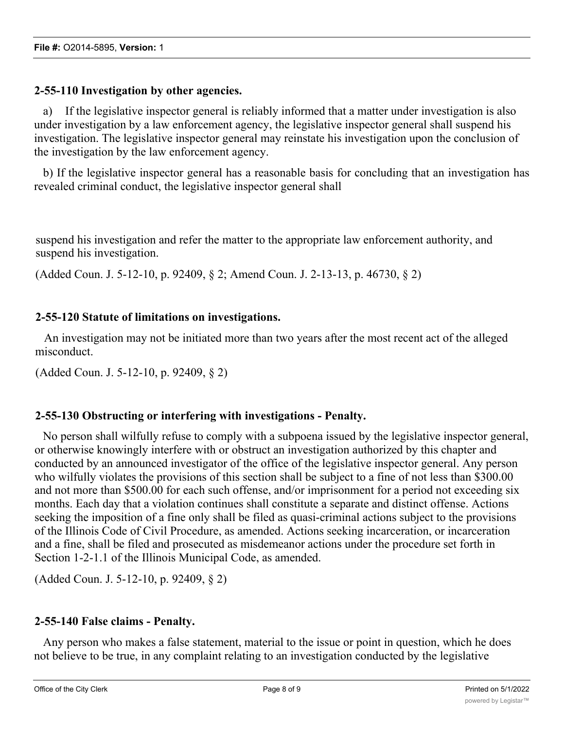### **2-55-110 Investigation by other agencies.**

a) If the legislative inspector general is reliably informed that a matter under investigation is also under investigation by a law enforcement agency, the legislative inspector general shall suspend his investigation. The legislative inspector general may reinstate his investigation upon the conclusion of the investigation by the law enforcement agency.

b) If the legislative inspector general has a reasonable basis for concluding that an investigation has revealed criminal conduct, the legislative inspector general shall

suspend his investigation and refer the matter to the appropriate law enforcement authority, and suspend his investigation.

(Added Coun. J. 5-12-10, p. 92409, § 2; Amend Coun. J. 2-13-13, p. 46730, § 2)

### **2-55-120 Statute of limitations on investigations.**

An investigation may not be initiated more than two years after the most recent act of the alleged misconduct.

(Added Coun. J. 5-12-10, p. 92409, § 2)

# **2-55-130 Obstructing or interfering with investigations - Penalty.**

No person shall wilfully refuse to comply with a subpoena issued by the legislative inspector general, or otherwise knowingly interfere with or obstruct an investigation authorized by this chapter and conducted by an announced investigator of the office of the legislative inspector general. Any person who wilfully violates the provisions of this section shall be subject to a fine of not less than \$300.00 and not more than \$500.00 for each such offense, and/or imprisonment for a period not exceeding six months. Each day that a violation continues shall constitute a separate and distinct offense. Actions seeking the imposition of a fine only shall be filed as quasi-criminal actions subject to the provisions of the Illinois Code of Civil Procedure, as amended. Actions seeking incarceration, or incarceration and a fine, shall be filed and prosecuted as misdemeanor actions under the procedure set forth in Section 1-2-1.1 of the Illinois Municipal Code, as amended.

(Added Coun. J. 5-12-10, p. 92409, § 2)

#### **2-55-140 False claims - Penalty.**

Any person who makes a false statement, material to the issue or point in question, which he does not believe to be true, in any complaint relating to an investigation conducted by the legislative